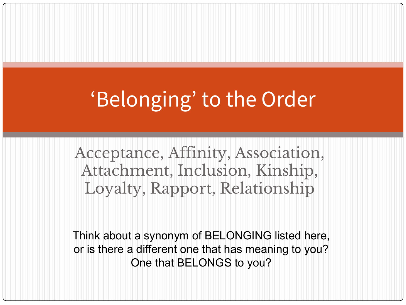#### 'Belonging' to the Order

Acceptance, Affinity, Association, Attachment, Inclusion, Kinship, Loyalty, Rapport, Relationship

Think about a synonym of BELONGING listed here, or is there a different one that has meaning to you? One that BELONGS to you?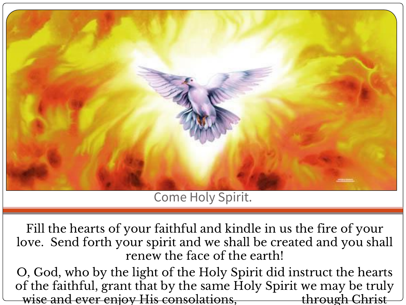

Come Holy Spirit.

Fill the hearts of your faithful and kindle in us the fire of your love. Send forth your spirit and we shall be created and you shall renew the face of the earth!

O, God, who by the light of the Holy Spirit did instruct the hearts of the faithful, grant that by the same Holy Spirit we may be truly wise and ever enjoy His consolations, Through Christ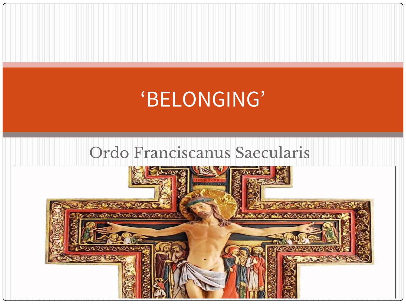#### 'BELONGING'

#### Ordo Franciscanus Saecularis

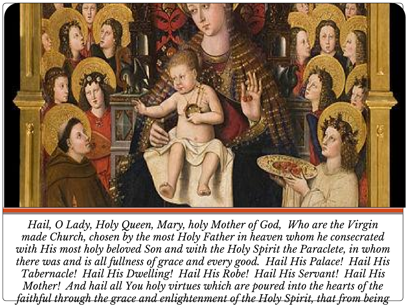

*Hail, O Lady, Holy Queen, Mary, holy Mother of God, Who are the Virgin made Church, chosen by the most Holy Father in heaven whom he consecrated with His most holy beloved Son and with the Holy Spirit the Paraclete, in whom there was and is all fullness of grace and every good. Hail His Palace! Hail His Tabernacle! Hail His Dwelling! Hail His Robe! Hail His Servant! Hail His Mother! And hail all You holy virtues which are poured into the hearts of the faithful through the grace and enlightenment of the Holy Spirit, that from being*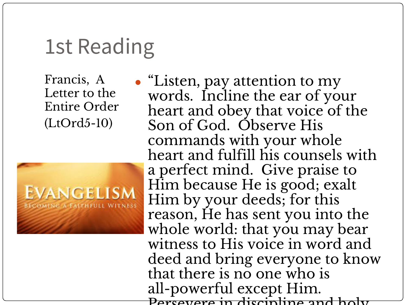#### 1st Reading

Francis, A Letter to the Entire Order (LtOrd5-10)



• "Listen, pay attention to my words. Incline the ear of your heart and obey that voice of the Son of God. Observe His commands with your whole heart and fulfill his counsels with a perfect mind. Give praise to Him because He is good; exalt Him by your deeds; for this reason, He has sent you into the whole world: that you may bear witness to His voice in word and deed and bring everyone to know that there is no one who is all-powerful except Him. Persevere in discipline and holy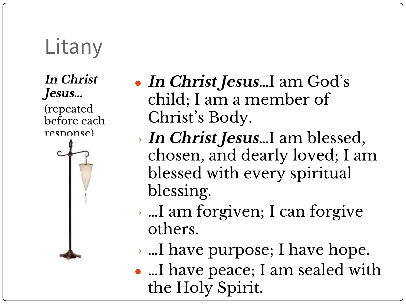#### Litany

**In Christ Jesus…**

(repeated before each response)



- **In Christ Jesus**…I am God's child; I am a member of Christ's Body.
	- **In Christ Jesus**…I am blessed, chosen, and dearly loved; I am blessed with every spiritual blessing.
	- ...I am forgiven; I can forgive others.
	- $\cdot$  ...I have purpose; I have hope.
- …I have peace; I am sealed with the Holy Spirit.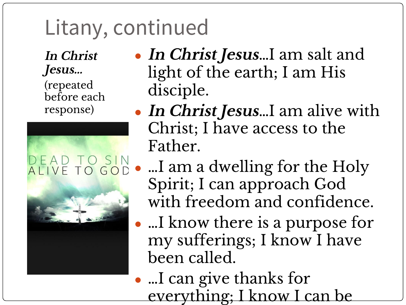## Litany, continued

**In Christ Jesus…** (repeated before each response)



- **In Christ Jesus**…I am salt and light of the earth; I am His disciple.
- **In Christ Jesus**…I am alive with Christ; I have access to the Father.
- DEAD TO SIN . I am a dwelling for the Holy Spirit; I can approach God with freedom and confidence.
	- …I know there is a purpose for my sufferings; I know I have been called.
	- …I can give thanks for everything; I know I can be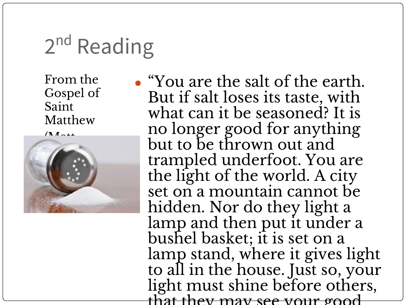## 2<sup>nd</sup> Reading

From the Gospel of Saint Matthew

 $/\mathbf{N}$  $\mathbf{A}$ 



• "You are the salt of the earth. But if salt loses its taste, with what can it be seasoned? It is no longer good for anything but to be thrown out and trampled underfoot. You are the light of the world. A city set on a mountain cannot be hidden. Nor do they light a lamp and then put it under a bushel basket; it is set on a lamp stand, where it gives light to all in the house. Just so, your light must shine before others, that they may see your good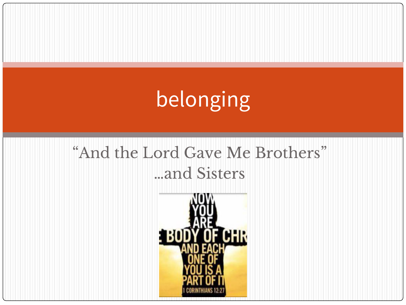## belonging

#### "And the Lord Gave Me Brothers" …and Sisters

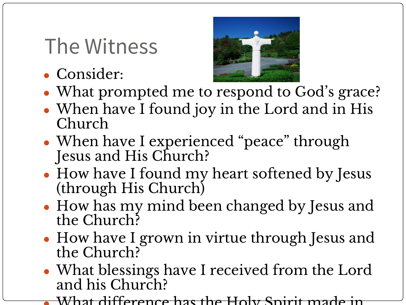#### The Witness

• Consider:



- What prompted me to respond to God's grace?
- When have I found joy in the Lord and in His Church
- When have I experienced "peace" through Jesus and His Church?
- How have I found my heart softened by Jesus (through His Church)
- How has my mind been changed by Jesus and the Church?
- How have I grown in virtue through Jesus and the Church?
- What blessings have I received from the Lord and his Church?

What difference has the Holy Spirit made in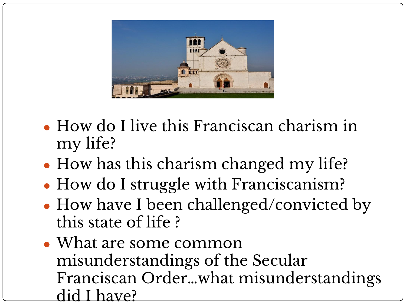

- How do I live this Franciscan charism in my life?
- How has this charism changed my life?
- How do I struggle with Franciscanism?
- How have I been challenged/convicted by this state of life ?
- What are some common misunderstandings of the Secular Franciscan Order…what misunderstandings did I have?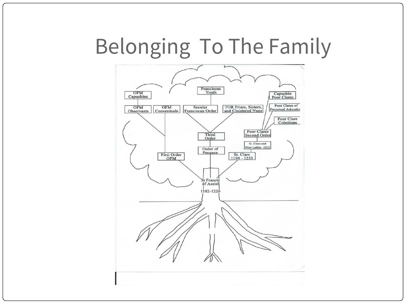### Belonging To The Family

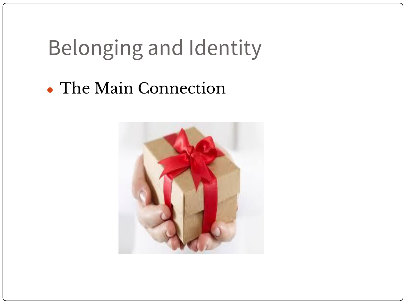#### Belonging and Identity

#### • The Main Connection

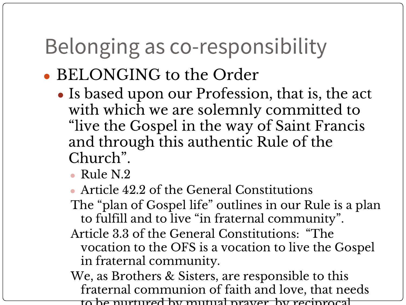### Belonging as co-responsibility

#### • BELONGING to the Order

- Is based upon our Profession, that is, the act with which we are solemnly committed to "live the Gospel in the way of Saint Francis and through this authentic Rule of the Church".
	- Rule N.2
	- Article 42.2 of the General Constitutions
	- The "plan of Gospel life" outlines in our Rule is a plan to fulfill and to live "in fraternal community".
	- Article 3.3 of the General Constitutions: "The vocation to the OFS is a vocation to live the Gospel in fraternal community.

We, as Brothers & Sisters, are responsible to this fraternal communion of faith and love, that needs to be nurtured by mutual prayer, by reciprocal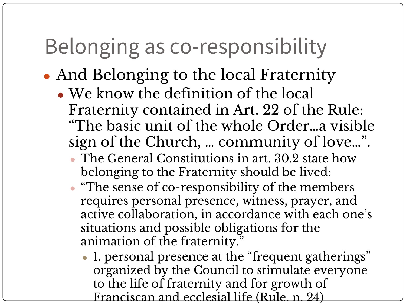### Belonging as co-responsibility

- And Belonging to the local Fraternity
	- We know the definition of the local Fraternity contained in Art. 22 of the Rule: "The basic unit of the whole Order…a visible sign of the Church, … community of love…".
		- The General Constitutions in art. 30.2 state how belonging to the Fraternity should be lived:
		- "The sense of co-responsibility of the members requires personal presence, witness, prayer, and active collaboration, in accordance with each one's situations and possible obligations for the animation of the fraternity.<sup>7</sup>
			- 1. personal presence at the "frequent gatherings" organized by the Council to stimulate everyone to the life of fraternity and for growth of Franciscan and ecclesial life (Rule. n. 24)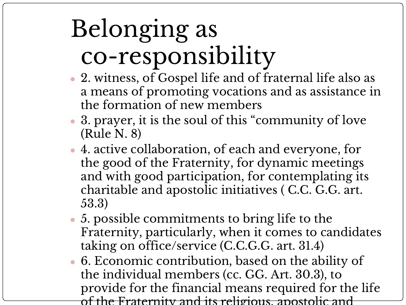# Belonging as co-responsibility

- 2. witness, of Gospel life and of fraternal life also as a means of promoting vocations and as assistance in the formation of new members
- 3. prayer, it is the soul of this "community of love" (Rule N. 8)
- 4. active collaboration, of each and everyone, for the good of the Fraternity, for dynamic meetings and with good participation, for contemplating its charitable and apostolic initiatives ( C.C. G.G. art. 53.3)
- 5. possible commitments to bring life to the Fraternity, particularly, when it comes to candidates taking on office/service (C.C.G.G. art. 31.4)
- 6. Economic contribution, based on the ability of the individual members (cc. GG. Art. 30.3), to provide for the financial means required for the life of the Fraternity and its religious, apostolic and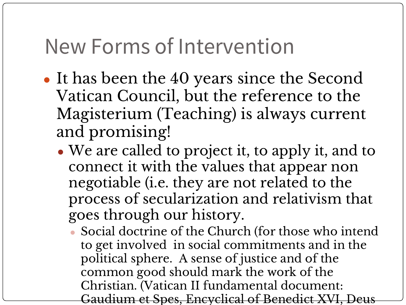#### New Forms of Intervention

- It has been the 40 years since the Second Vatican Council, but the reference to the Magisterium (Teaching) is always current and promising!
	- We are called to project it, to apply it, and to connect it with the values that appear non negotiable (i.e. they are not related to the process of secularization and relativism that goes through our history.
		- Social doctrine of the Church (for those who intend to get involved in social commitments and in the political sphere. A sense of justice and of the common good should mark the work of the Christian. (Vatican II fundamental document: Gaudium et Spes, Encyclical of Benedict XVI, Deus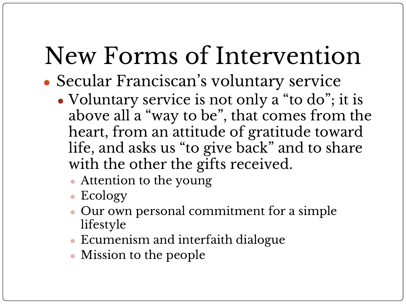# New Forms of Intervention

- Secular Franciscan's voluntary service
	- Voluntary service is not only a "to do"; it is above all a "way to be", that comes from the heart, from an attitude of gratitude toward life, and asks us "to give back" and to share with the other the gifts received.
		- Attention to the young
		- Ecology
		- Our own personal commitment for a simple lifestyle
		- Ecumenism and interfaith dialogue
		- Mission to the people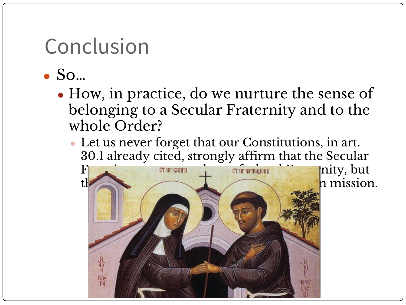#### Conclusion

- $\bullet$  So...
	- How, in practice, do we nurture the sense of belonging to a Secular Fraternity and to the whole Order?
		- Let us never forget that our Constitutions, in art. 30.1 already cited, strongly affirm that the Secular



h mission.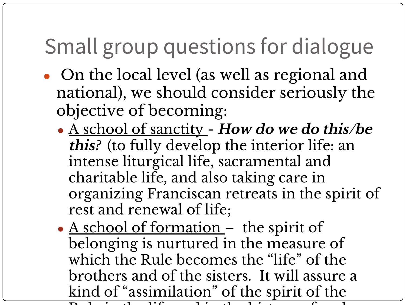## Small group questions for dialogue

- On the local level (as well as regional and national), we should consider seriously the objective of becoming:
	- <u>A school of sanctity</u> **How do we do this/be this?** (to fully develop the interior life: an intense liturgical life, sacramental and charitable life, and also taking care in organizing Franciscan retreats in the spirit of rest and renewal of life;
	- A school of formation the spirit of belonging is nurtured in the measure of which the Rule becomes the "life" of the brothers and of the sisters. It will assure a kind of "assimilation" of the spirit of the  $R$  rule in the life and in the history of each in the history of each in the history of each in the history of  $R$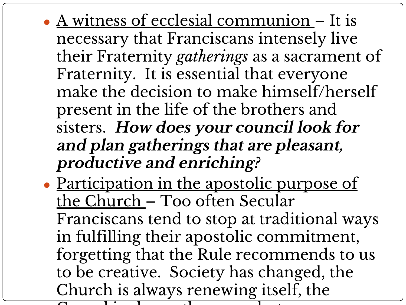- A witness of ecclesial communion It is necessary that Franciscans intensely live their Fraternity *gatherings* as a sacrament of Fraternity. It is essential that everyone make the decision to make himself/herself present in the life of the brothers and sisters. **How does your council look for and plan gatherings that are pleasant, productive and enriching?**
- Participation in the apostolic purpose of the Church – Too often Secular Franciscans tend to stop at traditional ways in fulfilling their apostolic commitment, forgetting that the Rule recommends to us to be creative. Society has changed, the Church is always renewing itself, the

 $G \qquad 1' \qquad 1 \qquad 1 \qquad 1$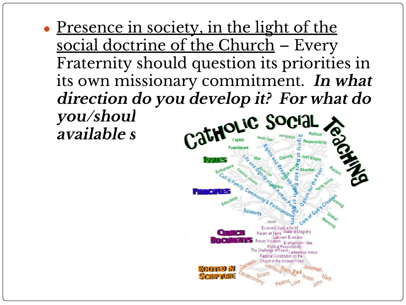• Presence in society, in the light of the social doctrine of the Church – Every Fraternity should question its priorities in its own missionary commitment. **In what direction do you develop it? For what do you/shoul**<br>are:1.1.1 available s